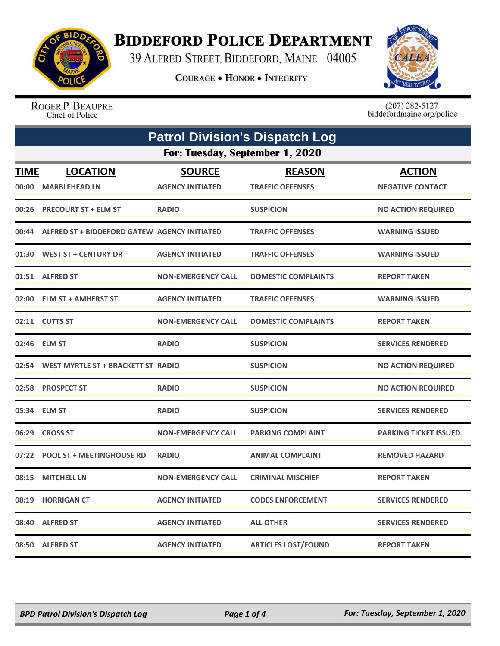

## **BIDDEFORD POLICE DEPARTMENT**

39 ALFRED STREET, BIDDEFORD, MAINE 04005

**COURAGE . HONOR . INTEGRITY** 



ROGER P. BEAUPRE Chief of Police

 $(207)$  282-5127<br>biddefordmaine.org/police

| <b>Patrol Division's Dispatch Log</b> |                                              |                           |                            |                              |  |  |
|---------------------------------------|----------------------------------------------|---------------------------|----------------------------|------------------------------|--|--|
|                                       | For: Tuesday, September 1, 2020              |                           |                            |                              |  |  |
| <b>TIME</b>                           | <b>LOCATION</b>                              | <b>SOURCE</b>             | <b>REASON</b>              | <b>ACTION</b>                |  |  |
| 00:00                                 | <b>MARBLEHEAD LN</b>                         | <b>AGENCY INITIATED</b>   | <b>TRAFFIC OFFENSES</b>    | <b>NEGATIVE CONTACT</b>      |  |  |
| 00:26                                 | <b>PRECOURT ST + ELM ST</b>                  | <b>RADIO</b>              | <b>SUSPICION</b>           | <b>NO ACTION REQUIRED</b>    |  |  |
| 00:44                                 | ALFRED ST + BIDDEFORD GATEW AGENCY INITIATED |                           | <b>TRAFFIC OFFENSES</b>    | <b>WARNING ISSUED</b>        |  |  |
| 01:30                                 | <b>WEST ST + CENTURY DR</b>                  | <b>AGENCY INITIATED</b>   | <b>TRAFFIC OFFENSES</b>    | <b>WARNING ISSUED</b>        |  |  |
| 01:51                                 | <b>ALFRED ST</b>                             | <b>NON-EMERGENCY CALL</b> | <b>DOMESTIC COMPLAINTS</b> | <b>REPORT TAKEN</b>          |  |  |
| 02:00                                 | <b>ELM ST + AMHERST ST</b>                   | <b>AGENCY INITIATED</b>   | <b>TRAFFIC OFFENSES</b>    | <b>WARNING ISSUED</b>        |  |  |
|                                       | 02:11 CUTTS ST                               | <b>NON-EMERGENCY CALL</b> | <b>DOMESTIC COMPLAINTS</b> | <b>REPORT TAKEN</b>          |  |  |
| 02:46                                 | <b>ELM ST</b>                                | <b>RADIO</b>              | <b>SUSPICION</b>           | <b>SERVICES RENDERED</b>     |  |  |
| 02:54                                 | WEST MYRTLE ST + BRACKETT ST RADIO           |                           | <b>SUSPICION</b>           | <b>NO ACTION REQUIRED</b>    |  |  |
| 02:58                                 | <b>PROSPECT ST</b>                           | <b>RADIO</b>              | <b>SUSPICION</b>           | <b>NO ACTION REQUIRED</b>    |  |  |
| 05:34                                 | <b>ELM ST</b>                                | <b>RADIO</b>              | <b>SUSPICION</b>           | <b>SERVICES RENDERED</b>     |  |  |
| 06:29                                 | <b>CROSS ST</b>                              | <b>NON-EMERGENCY CALL</b> | <b>PARKING COMPLAINT</b>   | <b>PARKING TICKET ISSUED</b> |  |  |
| 07:22                                 | <b>POOL ST + MEETINGHOUSE RD</b>             | <b>RADIO</b>              | <b>ANIMAL COMPLAINT</b>    | <b>REMOVED HAZARD</b>        |  |  |
| 08:15                                 | <b>MITCHELL LN</b>                           | <b>NON-EMERGENCY CALL</b> | <b>CRIMINAL MISCHIEF</b>   | <b>REPORT TAKEN</b>          |  |  |
| 08:19                                 | <b>HORRIGAN CT</b>                           | <b>AGENCY INITIATED</b>   | <b>CODES ENFORCEMENT</b>   | <b>SERVICES RENDERED</b>     |  |  |
| 08:40                                 | <b>ALFRED ST</b>                             | <b>AGENCY INITIATED</b>   | <b>ALL OTHER</b>           | <b>SERVICES RENDERED</b>     |  |  |
|                                       | 08:50 ALFRED ST                              | <b>AGENCY INITIATED</b>   | <b>ARTICLES LOST/FOUND</b> | <b>REPORT TAKEN</b>          |  |  |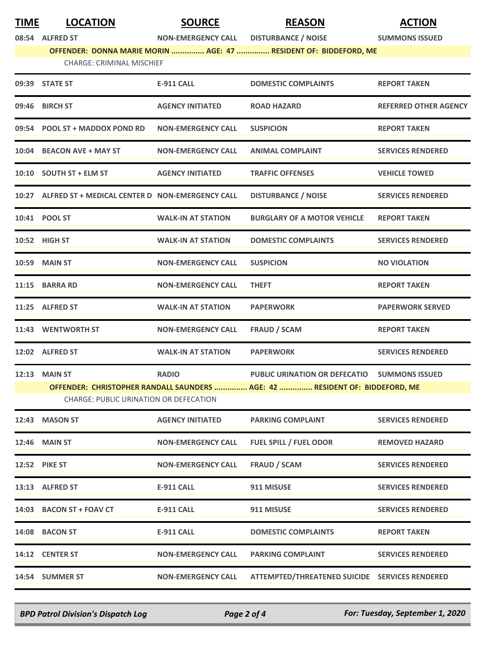| <b>TIME</b> | <b>LOCATION</b> | <b>SOURCE</b> | <b>REASON</b> | <b>ACTION</b> |
|-------------|-----------------|---------------|---------------|---------------|
|             |                 |               |               |               |

**08:54 ALFRED ST NON-EMERGENCY CALL DISTURBANCE / NOISE SUMMONS ISSUED OFFENDER: DONNA MARIE MORIN ............... AGE: 47 ............... RESIDENT OF: BIDDEFORD, ME**

| 09:39 STATE ST                                        | <b>E-911 CALL</b>         | <b>DOMESTIC COMPLAINTS</b>                                                  | <b>REPORT TAKEN</b>          |  |  |
|-------------------------------------------------------|---------------------------|-----------------------------------------------------------------------------|------------------------------|--|--|
| 09:46 BIRCH ST                                        | <b>AGENCY INITIATED</b>   | <b>ROAD HAZARD</b>                                                          | <b>REFERRED OTHER AGENCY</b> |  |  |
| 09:54 POOL ST + MADDOX POND RD                        | <b>NON-EMERGENCY CALL</b> | <b>SUSPICION</b>                                                            | <b>REPORT TAKEN</b>          |  |  |
| 10:04 BEACON AVE + MAY ST                             | <b>NON-EMERGENCY CALL</b> | <b>ANIMAL COMPLAINT</b>                                                     | <b>SERVICES RENDERED</b>     |  |  |
| 10:10 SOUTH ST + ELM ST                               | <b>AGENCY INITIATED</b>   | <b>TRAFFIC OFFENSES</b>                                                     | <b>VEHICLE TOWED</b>         |  |  |
| 10:27 ALFRED ST + MEDICAL CENTER D NON-EMERGENCY CALL |                           | <b>DISTURBANCE / NOISE</b>                                                  | <b>SERVICES RENDERED</b>     |  |  |
| 10:41 POOL ST                                         | <b>WALK-IN AT STATION</b> | <b>BURGLARY OF A MOTOR VEHICLE</b>                                          | <b>REPORT TAKEN</b>          |  |  |
| 10:52 HIGH ST                                         | <b>WALK-IN AT STATION</b> | <b>DOMESTIC COMPLAINTS</b>                                                  | <b>SERVICES RENDERED</b>     |  |  |
| <b>10:59 MAIN ST</b>                                  | <b>NON-EMERGENCY CALL</b> | <b>SUSPICION</b>                                                            | <b>NO VIOLATION</b>          |  |  |
| 11:15 BARRA RD                                        | <b>NON-EMERGENCY CALL</b> | <b>THEFT</b>                                                                | <b>REPORT TAKEN</b>          |  |  |
| 11:25 ALFRED ST                                       | <b>WALK-IN AT STATION</b> | <b>PAPERWORK</b>                                                            | <b>PAPERWORK SERVED</b>      |  |  |
| 11:43 WENTWORTH ST                                    | <b>NON-EMERGENCY CALL</b> | <b>FRAUD / SCAM</b>                                                         | <b>REPORT TAKEN</b>          |  |  |
| 12:02 ALFRED ST                                       | <b>WALK-IN AT STATION</b> | <b>PAPERWORK</b>                                                            | <b>SERVICES RENDERED</b>     |  |  |
| <b>12:13 MAIN ST</b>                                  | <b>RADIO</b>              | PUBLIC URINATION OR DEFECATIO SUMMONS ISSUED                                |                              |  |  |
|                                                       |                           | OFFENDER: CHRISTOPHER RANDALL SAUNDERS  AGE: 42  RESIDENT OF: BIDDEFORD, ME |                              |  |  |
| <b>CHARGE: PUBLIC URINATION OR DEFECATION</b>         |                           |                                                                             |                              |  |  |
| 12:43 MASON ST                                        | <b>AGENCY INITIATED</b>   | <b>PARKING COMPLAINT</b>                                                    | <b>SERVICES RENDERED</b>     |  |  |
| 12:46 MAIN ST                                         | <b>NON-EMERGENCY CALL</b> | <b>FUEL SPILL / FUEL ODOR</b>                                               | <b>REMOVED HAZARD</b>        |  |  |
| <b>12:52 PIKE ST</b>                                  | <b>NON-EMERGENCY CALL</b> | <b>FRAUD / SCAM</b>                                                         | <b>SERVICES RENDERED</b>     |  |  |
| 13:13 ALFRED ST                                       | <b>E-911 CALL</b>         | 911 MISUSE                                                                  | <b>SERVICES RENDERED</b>     |  |  |
| 14:03 BACON ST + FOAV CT                              | <b>E-911 CALL</b>         | 911 MISUSE                                                                  | <b>SERVICES RENDERED</b>     |  |  |
| 14:08 BACON ST                                        | <b>E-911 CALL</b>         | <b>DOMESTIC COMPLAINTS</b>                                                  | <b>REPORT TAKEN</b>          |  |  |
| 14:12 CENTER ST                                       | <b>NON-EMERGENCY CALL</b> | <b>PARKING COMPLAINT</b>                                                    | <b>SERVICES RENDERED</b>     |  |  |
| 14:54 SUMMER ST                                       | <b>NON-EMERGENCY CALL</b> | ATTEMPTED/THREATENED SUICIDE SERVICES RENDERED                              |                              |  |  |
|                                                       |                           |                                                                             |                              |  |  |

*BPD Patrol Division's Dispatch Log Page 2 of 4 For: Tuesday, September 1, 2020*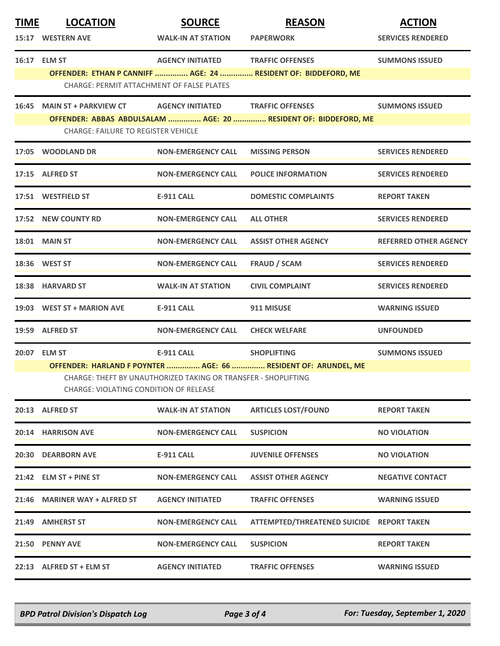| <b>TIME</b><br><b>LOCATION</b><br>15:17 WESTERN AVE                                                                                                                        | <b>SOURCE</b><br><b>WALK-IN AT STATION</b> | <b>REASON</b><br><b>PAPERWORK</b>                                                       | <b>ACTION</b><br><b>SERVICES RENDERED</b>                                                                                                                                                                                                                                                                  |  |
|----------------------------------------------------------------------------------------------------------------------------------------------------------------------------|--------------------------------------------|-----------------------------------------------------------------------------------------|------------------------------------------------------------------------------------------------------------------------------------------------------------------------------------------------------------------------------------------------------------------------------------------------------------|--|
| 16:17 ELM ST                                                                                                                                                               |                                            |                                                                                         | <b>SUMMONS ISSUED</b>                                                                                                                                                                                                                                                                                      |  |
|                                                                                                                                                                            |                                            |                                                                                         |                                                                                                                                                                                                                                                                                                            |  |
|                                                                                                                                                                            |                                            |                                                                                         | <b>SUMMONS ISSUED</b>                                                                                                                                                                                                                                                                                      |  |
|                                                                                                                                                                            |                                            |                                                                                         |                                                                                                                                                                                                                                                                                                            |  |
| 17:05 WOODLAND DR                                                                                                                                                          | <b>NON-EMERGENCY CALL</b>                  | <b>MISSING PERSON</b>                                                                   | <b>SERVICES RENDERED</b>                                                                                                                                                                                                                                                                                   |  |
| 17:15 ALFRED ST                                                                                                                                                            | <b>NON-EMERGENCY CALL</b>                  | <b>POLICE INFORMATION</b>                                                               | <b>SERVICES RENDERED</b>                                                                                                                                                                                                                                                                                   |  |
| 17:51 WESTFIELD ST                                                                                                                                                         | E-911 CALL                                 | <b>DOMESTIC COMPLAINTS</b>                                                              | <b>REPORT TAKEN</b>                                                                                                                                                                                                                                                                                        |  |
| 17:52 NEW COUNTY RD                                                                                                                                                        | <b>NON-EMERGENCY CALL</b>                  | <b>ALL OTHER</b>                                                                        | <b>SERVICES RENDERED</b>                                                                                                                                                                                                                                                                                   |  |
| <b>18:01 MAIN ST</b>                                                                                                                                                       | <b>NON-EMERGENCY CALL</b>                  | <b>ASSIST OTHER AGENCY</b>                                                              | <b>REFERRED OTHER AGENCY</b>                                                                                                                                                                                                                                                                               |  |
| 18:36 WEST ST                                                                                                                                                              | <b>NON-EMERGENCY CALL</b>                  | <b>FRAUD / SCAM</b>                                                                     | <b>SERVICES RENDERED</b>                                                                                                                                                                                                                                                                                   |  |
| 18:38 HARVARD ST                                                                                                                                                           | <b>WALK-IN AT STATION</b>                  | <b>CIVIL COMPLAINT</b>                                                                  | <b>SERVICES RENDERED</b>                                                                                                                                                                                                                                                                                   |  |
| 19:03 WEST ST + MARION AVE                                                                                                                                                 | E-911 CALL                                 | 911 MISUSE                                                                              | <b>WARNING ISSUED</b>                                                                                                                                                                                                                                                                                      |  |
| 19:59 ALFRED ST                                                                                                                                                            | <b>NON-EMERGENCY CALL</b>                  | <b>CHECK WELFARE</b>                                                                    | <b>UNFOUNDED</b>                                                                                                                                                                                                                                                                                           |  |
| 20:07 ELM ST                                                                                                                                                               | E-911 CALL                                 |                                                                                         | <b>SUMMONS ISSUED</b>                                                                                                                                                                                                                                                                                      |  |
| OFFENDER: HARLAND F POYNTER  AGE: 66  RESIDENT OF: ARUNDEL, ME<br>CHARGE: THEFT BY UNAUTHORIZED TAKING OR TRANSFER - SHOPLIFTING<br>CHARGE: VIOLATING CONDITION OF RELEASE |                                            |                                                                                         |                                                                                                                                                                                                                                                                                                            |  |
| 20:13 ALFRED ST                                                                                                                                                            | <b>WALK-IN AT STATION</b>                  | <b>ARTICLES LOST/FOUND</b>                                                              | <b>REPORT TAKEN</b>                                                                                                                                                                                                                                                                                        |  |
| 20:14 HARRISON AVE                                                                                                                                                         | <b>NON-EMERGENCY CALL</b>                  | <b>SUSPICION</b>                                                                        | <b>NO VIOLATION</b>                                                                                                                                                                                                                                                                                        |  |
| 20:30 DEARBORN AVE                                                                                                                                                         | E-911 CALL                                 | <b>JUVENILE OFFENSES</b>                                                                | <b>NO VIOLATION</b>                                                                                                                                                                                                                                                                                        |  |
| 21:42 ELM ST + PINE ST                                                                                                                                                     | <b>NON-EMERGENCY CALL</b>                  | <b>ASSIST OTHER AGENCY</b>                                                              | <b>NEGATIVE CONTACT</b>                                                                                                                                                                                                                                                                                    |  |
| 21:46 MARINER WAY + ALFRED ST                                                                                                                                              | <b>AGENCY INITIATED</b>                    | <b>TRAFFIC OFFENSES</b>                                                                 | <b>WARNING ISSUED</b>                                                                                                                                                                                                                                                                                      |  |
| 21:49 AMHERST ST                                                                                                                                                           | <b>NON-EMERGENCY CALL</b>                  |                                                                                         |                                                                                                                                                                                                                                                                                                            |  |
| 21:50 PENNY AVE                                                                                                                                                            | <b>NON-EMERGENCY CALL</b>                  | <b>SUSPICION</b>                                                                        | <b>REPORT TAKEN</b>                                                                                                                                                                                                                                                                                        |  |
| 22:13 ALFRED ST + ELM ST                                                                                                                                                   | <b>AGENCY INITIATED</b>                    | <b>TRAFFIC OFFENSES</b>                                                                 | <b>WARNING ISSUED</b>                                                                                                                                                                                                                                                                                      |  |
|                                                                                                                                                                            |                                            | CHARGE: PERMIT ATTACHMENT OF FALSE PLATES<br><b>CHARGE: FAILURE TO REGISTER VEHICLE</b> | AGENCY INITIATED TRAFFIC OFFENSES<br>OFFENDER: ETHAN P CANNIFF  AGE: 24  RESIDENT OF: BIDDEFORD, ME<br>16:45 MAIN ST + PARKVIEW CT AGENCY INITIATED TRAFFIC OFFENSES<br>OFFENDER: ABBAS ABDULSALAM  AGE: 20  RESIDENT OF: BIDDEFORD, ME<br><b>SHOPLIFTING</b><br>ATTEMPTED/THREATENED SUICIDE REPORT TAKEN |  |